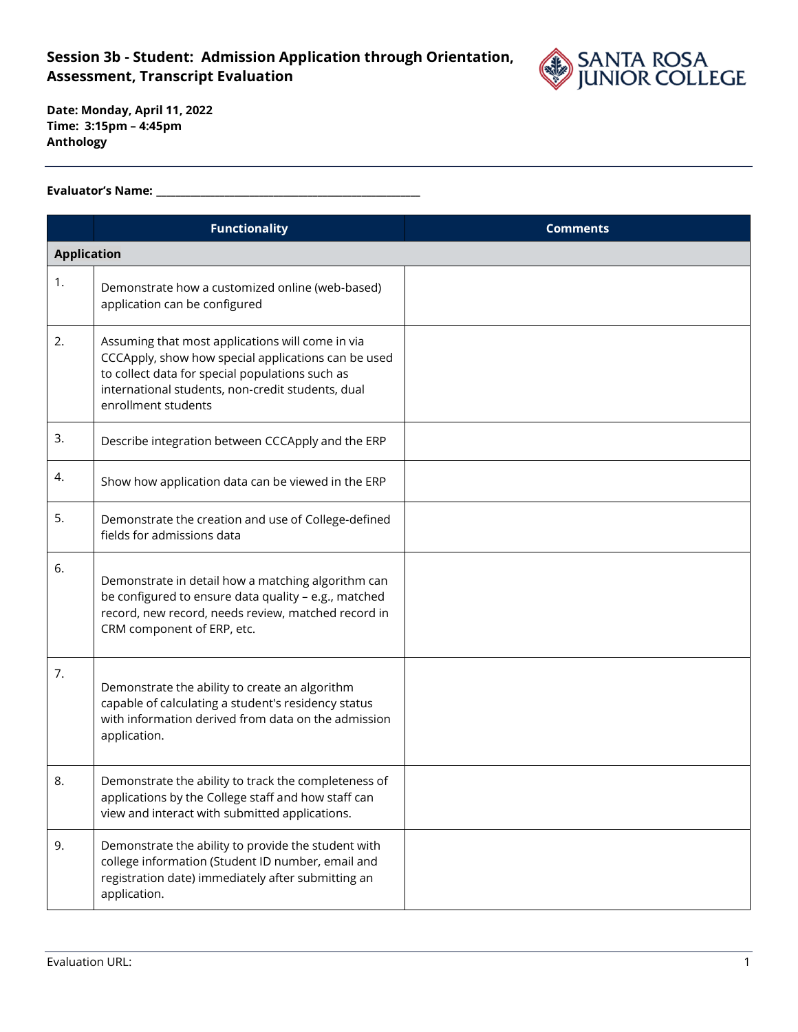## **Session 3b - Student: Admission Application through Orientation, Assessment, Transcript Evaluation**



**Date: Monday, April 11, 2022 Time: 3:15pm – 4:45pm Anthology**

## **Evaluator's Name: \_\_\_\_\_\_\_\_\_\_\_\_\_\_\_\_\_\_\_\_\_\_\_\_\_\_\_\_\_\_\_\_\_\_\_\_\_\_\_\_\_\_\_\_\_\_\_\_\_\_\_\_\_\_**

|                    | <b>Functionality</b>                                                                                                                                                                                                                   | <b>Comments</b> |
|--------------------|----------------------------------------------------------------------------------------------------------------------------------------------------------------------------------------------------------------------------------------|-----------------|
| <b>Application</b> |                                                                                                                                                                                                                                        |                 |
| 1.                 | Demonstrate how a customized online (web-based)<br>application can be configured                                                                                                                                                       |                 |
| 2.                 | Assuming that most applications will come in via<br>CCCApply, show how special applications can be used<br>to collect data for special populations such as<br>international students, non-credit students, dual<br>enrollment students |                 |
| 3.                 | Describe integration between CCCApply and the ERP                                                                                                                                                                                      |                 |
| 4.                 | Show how application data can be viewed in the ERP                                                                                                                                                                                     |                 |
| 5.                 | Demonstrate the creation and use of College-defined<br>fields for admissions data                                                                                                                                                      |                 |
| 6.                 | Demonstrate in detail how a matching algorithm can<br>be configured to ensure data quality - e.g., matched<br>record, new record, needs review, matched record in<br>CRM component of ERP, etc.                                        |                 |
| 7.                 | Demonstrate the ability to create an algorithm<br>capable of calculating a student's residency status<br>with information derived from data on the admission<br>application.                                                           |                 |
| 8.                 | Demonstrate the ability to track the completeness of<br>applications by the College staff and how staff can<br>view and interact with submitted applications.                                                                          |                 |
| 9.                 | Demonstrate the ability to provide the student with<br>college information (Student ID number, email and<br>registration date) immediately after submitting an<br>application.                                                         |                 |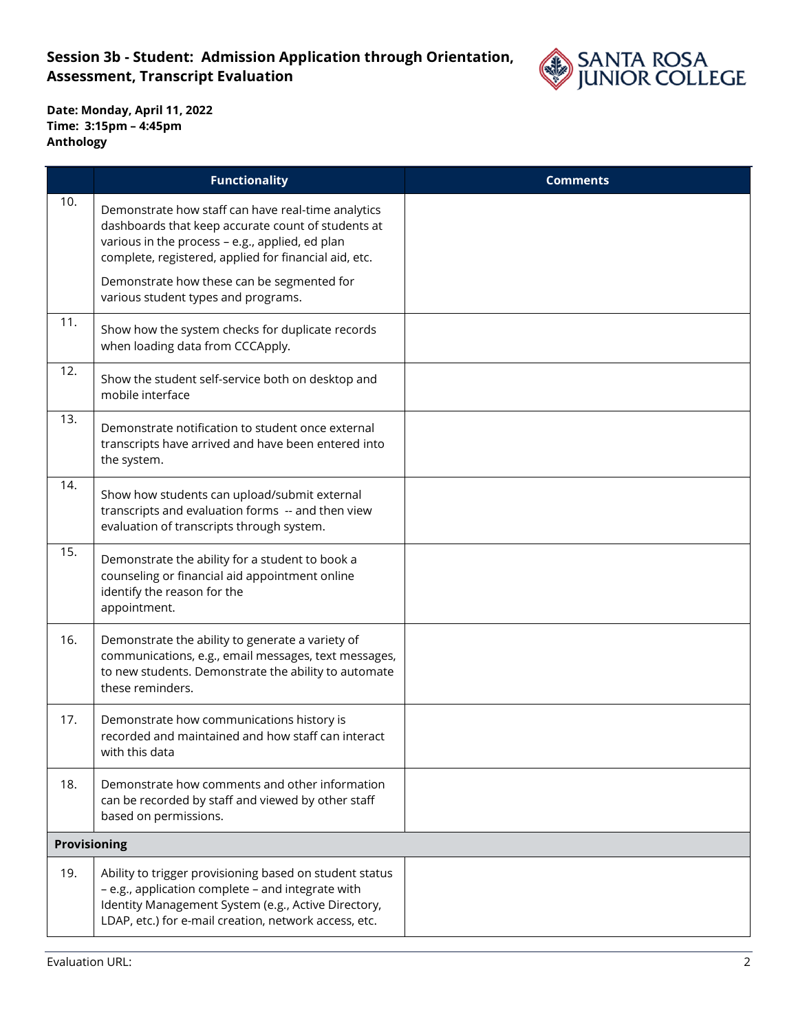

|              | <b>Functionality</b>                                                                                                                                                                                                         | <b>Comments</b> |
|--------------|------------------------------------------------------------------------------------------------------------------------------------------------------------------------------------------------------------------------------|-----------------|
| 10.          | Demonstrate how staff can have real-time analytics<br>dashboards that keep accurate count of students at<br>various in the process - e.g., applied, ed plan<br>complete, registered, applied for financial aid, etc.         |                 |
|              | Demonstrate how these can be segmented for<br>various student types and programs.                                                                                                                                            |                 |
| 11.          | Show how the system checks for duplicate records<br>when loading data from CCCApply.                                                                                                                                         |                 |
| 12.          | Show the student self-service both on desktop and<br>mobile interface                                                                                                                                                        |                 |
| 13.          | Demonstrate notification to student once external<br>transcripts have arrived and have been entered into<br>the system.                                                                                                      |                 |
| 14.          | Show how students can upload/submit external<br>transcripts and evaluation forms -- and then view<br>evaluation of transcripts through system.                                                                               |                 |
| 15.          | Demonstrate the ability for a student to book a<br>counseling or financial aid appointment online<br>identify the reason for the<br>appointment.                                                                             |                 |
| 16.          | Demonstrate the ability to generate a variety of<br>communications, e.g., email messages, text messages,<br>to new students. Demonstrate the ability to automate<br>these reminders.                                         |                 |
| 17.          | Demonstrate how communications history is<br>recorded and maintained and how staff can interact<br>with this data                                                                                                            |                 |
| 18.          | Demonstrate how comments and other information<br>can be recorded by staff and viewed by other staff<br>based on permissions.                                                                                                |                 |
| Provisioning |                                                                                                                                                                                                                              |                 |
| 19.          | Ability to trigger provisioning based on student status<br>- e.g., application complete - and integrate with<br>Identity Management System (e.g., Active Directory,<br>LDAP, etc.) for e-mail creation, network access, etc. |                 |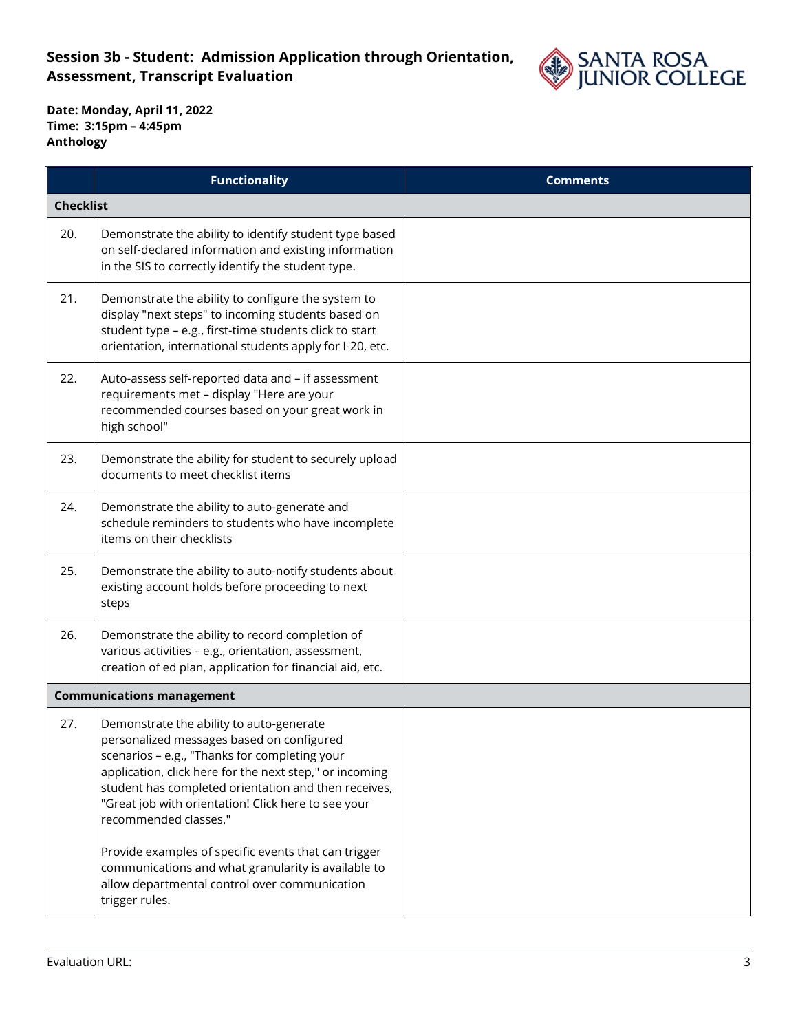## **Session 3b - Student: Admission Application through Orientation, Assessment, Transcript Evaluation**



|     | <b>Functionality</b>                                                                                                                                                                                                                                                                                                                                                                                                                                                                                                        | <b>Comments</b> |
|-----|-----------------------------------------------------------------------------------------------------------------------------------------------------------------------------------------------------------------------------------------------------------------------------------------------------------------------------------------------------------------------------------------------------------------------------------------------------------------------------------------------------------------------------|-----------------|
|     | <b>Checklist</b>                                                                                                                                                                                                                                                                                                                                                                                                                                                                                                            |                 |
| 20. | Demonstrate the ability to identify student type based<br>on self-declared information and existing information<br>in the SIS to correctly identify the student type.                                                                                                                                                                                                                                                                                                                                                       |                 |
| 21. | Demonstrate the ability to configure the system to<br>display "next steps" to incoming students based on<br>student type - e.g., first-time students click to start<br>orientation, international students apply for I-20, etc.                                                                                                                                                                                                                                                                                             |                 |
| 22. | Auto-assess self-reported data and - if assessment<br>requirements met - display "Here are your<br>recommended courses based on your great work in<br>high school"                                                                                                                                                                                                                                                                                                                                                          |                 |
| 23. | Demonstrate the ability for student to securely upload<br>documents to meet checklist items                                                                                                                                                                                                                                                                                                                                                                                                                                 |                 |
| 24. | Demonstrate the ability to auto-generate and<br>schedule reminders to students who have incomplete<br>items on their checklists                                                                                                                                                                                                                                                                                                                                                                                             |                 |
| 25. | Demonstrate the ability to auto-notify students about<br>existing account holds before proceeding to next<br>steps                                                                                                                                                                                                                                                                                                                                                                                                          |                 |
| 26. | Demonstrate the ability to record completion of<br>various activities - e.g., orientation, assessment,<br>creation of ed plan, application for financial aid, etc.                                                                                                                                                                                                                                                                                                                                                          |                 |
|     | <b>Communications management</b>                                                                                                                                                                                                                                                                                                                                                                                                                                                                                            |                 |
| 27. | Demonstrate the ability to auto-generate<br>personalized messages based on configured<br>scenarios - e.g., "Thanks for completing your<br>application, click here for the next step," or incoming<br>student has completed orientation and then receives,<br>"Great job with orientation! Click here to see your<br>recommended classes."<br>Provide examples of specific events that can trigger<br>communications and what granularity is available to<br>allow departmental control over communication<br>trigger rules. |                 |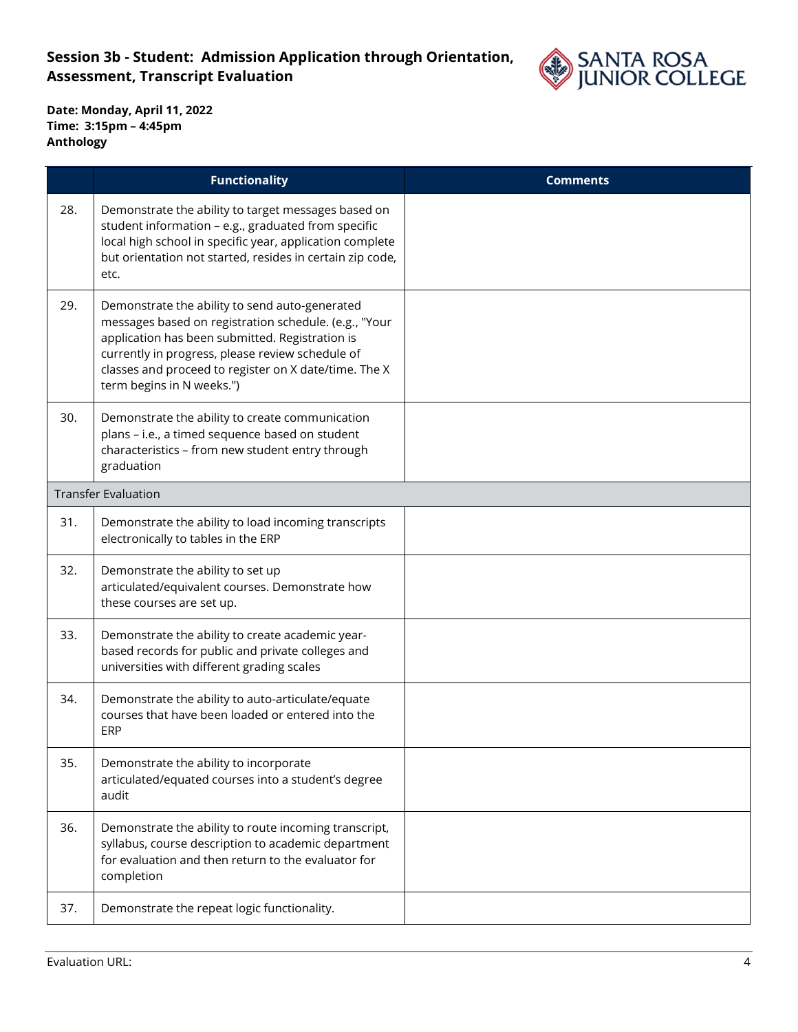

|     | <b>Functionality</b>                                                                                                                                                                                                                                                                                 | <b>Comments</b> |
|-----|------------------------------------------------------------------------------------------------------------------------------------------------------------------------------------------------------------------------------------------------------------------------------------------------------|-----------------|
| 28. | Demonstrate the ability to target messages based on<br>student information - e.g., graduated from specific<br>local high school in specific year, application complete<br>but orientation not started, resides in certain zip code,<br>etc.                                                          |                 |
| 29. | Demonstrate the ability to send auto-generated<br>messages based on registration schedule. (e.g., "Your<br>application has been submitted. Registration is<br>currently in progress, please review schedule of<br>classes and proceed to register on X date/time. The X<br>term begins in N weeks.") |                 |
| 30. | Demonstrate the ability to create communication<br>plans - i.e., a timed sequence based on student<br>characteristics - from new student entry through<br>graduation                                                                                                                                 |                 |
|     | <b>Transfer Evaluation</b>                                                                                                                                                                                                                                                                           |                 |
| 31. | Demonstrate the ability to load incoming transcripts<br>electronically to tables in the ERP                                                                                                                                                                                                          |                 |
| 32. | Demonstrate the ability to set up<br>articulated/equivalent courses. Demonstrate how<br>these courses are set up.                                                                                                                                                                                    |                 |
| 33. | Demonstrate the ability to create academic year-<br>based records for public and private colleges and<br>universities with different grading scales                                                                                                                                                  |                 |
| 34. | Demonstrate the ability to auto-articulate/equate<br>courses that have been loaded or entered into the<br>ERP                                                                                                                                                                                        |                 |
| 35. | Demonstrate the ability to incorporate<br>articulated/equated courses into a student's degree<br>audit                                                                                                                                                                                               |                 |
| 36. | Demonstrate the ability to route incoming transcript,<br>syllabus, course description to academic department<br>for evaluation and then return to the evaluator for<br>completion                                                                                                                    |                 |
| 37. | Demonstrate the repeat logic functionality.                                                                                                                                                                                                                                                          |                 |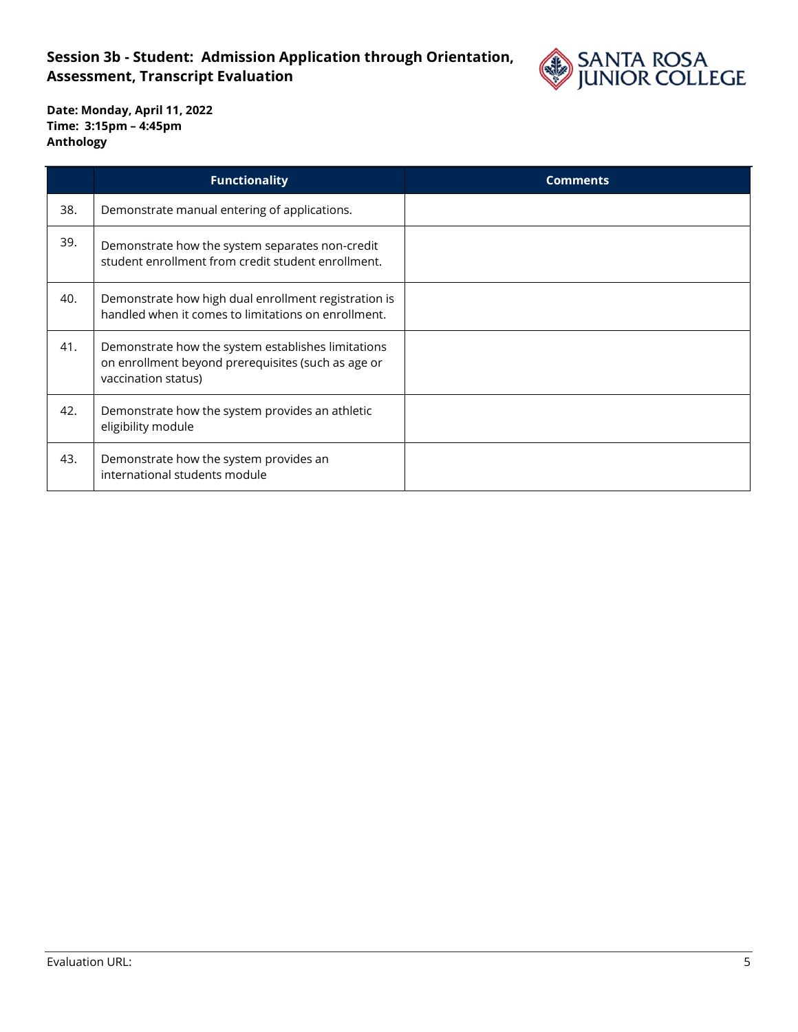## **Session 3b - Student: Admission Application through Orientation, Assessment, Transcript Evaluation**



|     | <b>Functionality</b>                                                                                                            | <b>Comments</b> |
|-----|---------------------------------------------------------------------------------------------------------------------------------|-----------------|
| 38. | Demonstrate manual entering of applications.                                                                                    |                 |
| 39. | Demonstrate how the system separates non-credit<br>student enrollment from credit student enrollment.                           |                 |
| 40. | Demonstrate how high dual enrollment registration is<br>handled when it comes to limitations on enrollment.                     |                 |
| 41. | Demonstrate how the system establishes limitations<br>on enrollment beyond prerequisites (such as age or<br>vaccination status) |                 |
| 42. | Demonstrate how the system provides an athletic<br>eligibility module                                                           |                 |
| 43. | Demonstrate how the system provides an<br>international students module                                                         |                 |